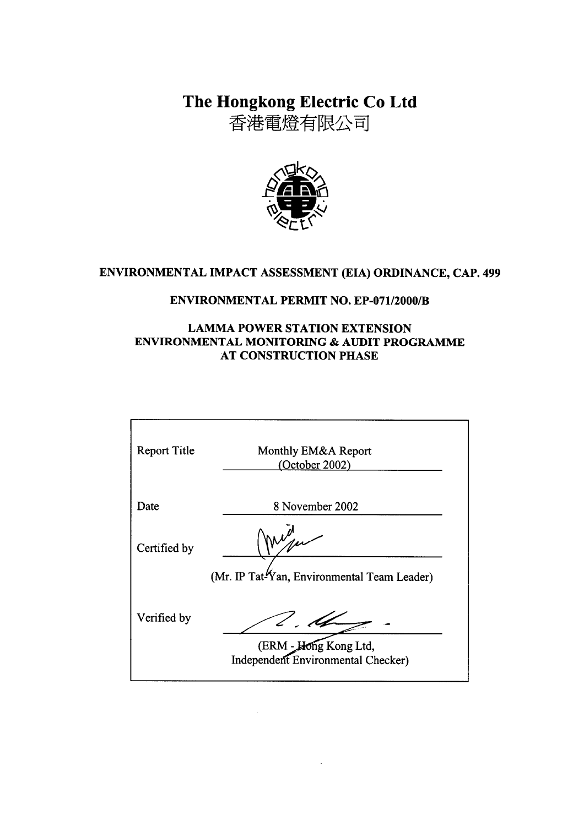The Hongkong Electric Co Ltd

香港電燈有限公司



# ENVIRONMENTAL IMPACT ASSESSMENT (EIA) ORDINANCE, CAP. 499

# **ENVIRONMENTAL PERMIT NO. EP-071/2000/B**

# **LAMMA POWER STATION EXTENSION ENVIRONMENTAL MONITORING & AUDIT PROGRAMME AT CONSTRUCTION PHASE**

| <b>Report Title</b> | Monthly EM&A Report<br>(October 2002)                                     |
|---------------------|---------------------------------------------------------------------------|
| Date                | 8 November 2002                                                           |
| Certified by        | $\mathcal{N}_{\mathcal{A}}$                                               |
|                     | (Mr. IP Tat-Yan, Environmental Team Leader)                               |
| Verified by         | Le.<br>(ERM - Hong Kong Ltd,<br><b>Independent Environmental Checker)</b> |
|                     |                                                                           |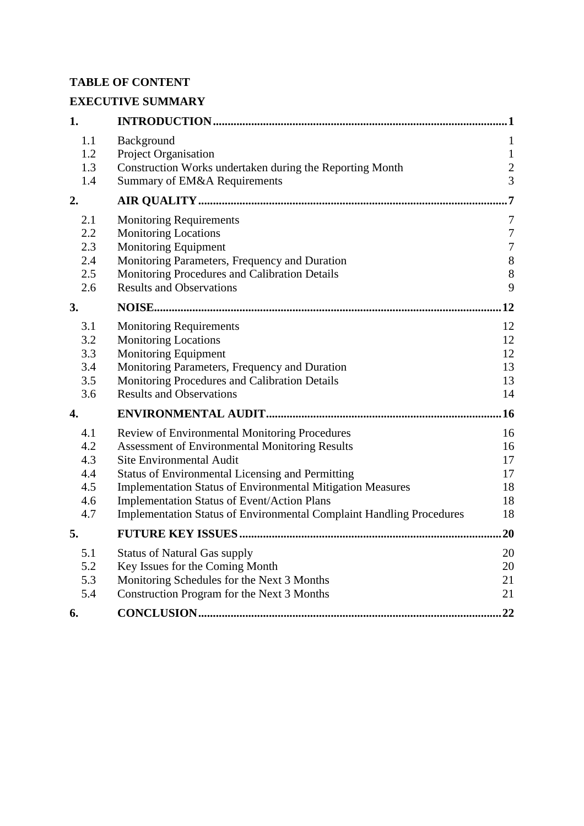# **TABLE OF CONTENT**

# **EXECUTIVE SUMMARY**

| 1.                                            |                                                                                                                                                                                                                                                                                                                                                                                           |                                                                           |
|-----------------------------------------------|-------------------------------------------------------------------------------------------------------------------------------------------------------------------------------------------------------------------------------------------------------------------------------------------------------------------------------------------------------------------------------------------|---------------------------------------------------------------------------|
| 1.1<br>1.2<br>1.3<br>1.4                      | Background<br><b>Project Organisation</b><br>Construction Works undertaken during the Reporting Month<br>Summary of EM&A Requirements                                                                                                                                                                                                                                                     | $\mathbf{1}$<br>$\mathbf{1}$<br>$\boldsymbol{2}$<br>$\overline{3}$        |
| 2.                                            |                                                                                                                                                                                                                                                                                                                                                                                           | .7                                                                        |
| 2.1<br>2.2<br>2.3<br>2.4<br>2.5<br>2.6        | <b>Monitoring Requirements</b><br><b>Monitoring Locations</b><br><b>Monitoring Equipment</b><br>Monitoring Parameters, Frequency and Duration<br>Monitoring Procedures and Calibration Details<br><b>Results and Observations</b>                                                                                                                                                         | $\tau$<br>$\boldsymbol{7}$<br>$\boldsymbol{7}$<br>$\,8\,$<br>$\,8\,$<br>9 |
| 3.                                            |                                                                                                                                                                                                                                                                                                                                                                                           | 12                                                                        |
| 3.1<br>3.2<br>3.3<br>3.4<br>3.5<br>3.6        | <b>Monitoring Requirements</b><br><b>Monitoring Locations</b><br><b>Monitoring Equipment</b><br>Monitoring Parameters, Frequency and Duration<br>Monitoring Procedures and Calibration Details<br><b>Results and Observations</b>                                                                                                                                                         | 12<br>12<br>12<br>13<br>13<br>14                                          |
| $\overline{4}$ .                              |                                                                                                                                                                                                                                                                                                                                                                                           | .16                                                                       |
| 4.1<br>4.2<br>4.3<br>4.4<br>4.5<br>4.6<br>4.7 | Review of Environmental Monitoring Procedures<br><b>Assessment of Environmental Monitoring Results</b><br>Site Environmental Audit<br><b>Status of Environmental Licensing and Permitting</b><br>Implementation Status of Environmental Mitigation Measures<br><b>Implementation Status of Event/Action Plans</b><br>Implementation Status of Environmental Complaint Handling Procedures | 16<br>16<br>17<br>17<br>18<br>18<br>18                                    |
| 5.                                            |                                                                                                                                                                                                                                                                                                                                                                                           | 20                                                                        |
| 5.1<br>5.2<br>5.3<br>5.4                      | <b>Status of Natural Gas supply</b><br>Key Issues for the Coming Month<br>Monitoring Schedules for the Next 3 Months<br>Construction Program for the Next 3 Months                                                                                                                                                                                                                        | 20<br>20<br>21<br>21                                                      |
| 6.                                            |                                                                                                                                                                                                                                                                                                                                                                                           | 22                                                                        |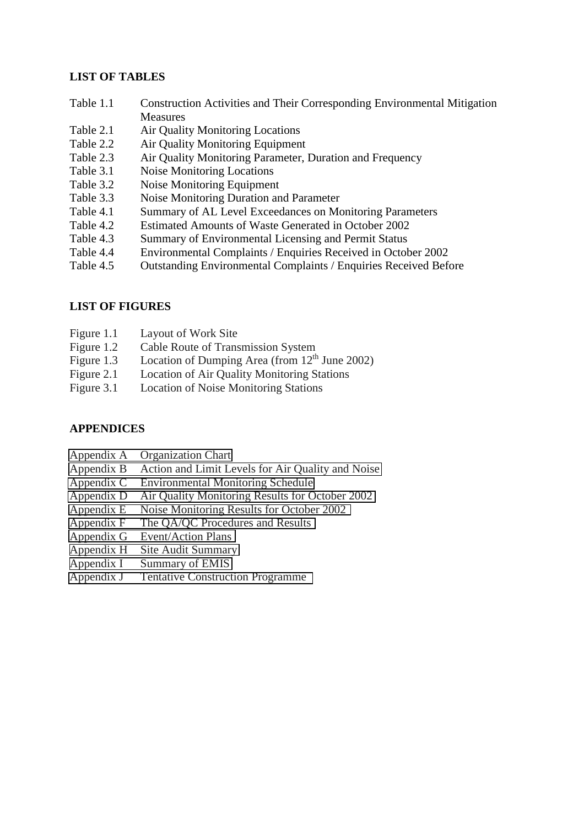### **LIST OF TABLES**

- Table 1.1 Construction Activities and Their Corresponding Environmental Mitigation **Measures**
- Table 2.1 Air Quality Monitoring Locations
- Table 2.2 Air Quality Monitoring Equipment
- Table 2.3 Air Quality Monitoring Parameter, Duration and Frequency
- Table 3.1 Noise Monitoring Locations
- Table 3.2 Noise Monitoring Equipment
- Table 3.3 Noise Monitoring Duration and Parameter
- Table 4.1 Summary of AL Level Exceedances on Monitoring Parameters
- Table 4.2 Estimated Amounts of Waste Generated in October 2002
- Table 4.3 Summary of Environmental Licensing and Permit Status
- Table 4.4 Environmental Complaints / Enquiries Received in October 2002
- Table 4.5 Outstanding Environmental Complaints / Enquiries Received Before

### **LIST OF FIGURES**

- Figure 1.1 Layout of Work Site
- Figure 1.2 Cable Route of Transmission System
- Figure 1.3 Location of Dumping Area (from  $12<sup>th</sup>$  June 2002)
- Figure 2.1 Location of Air Quality Monitoring Stations
- Figure 3.1 Location of Noise Monitoring Stations

### **APPENDICES**

- Appendix A Organization Chart
- Appendix B Action and Limit Levels for Air Quality and Noise
- Appendix C Environmental Monitoring Schedule
- Appendix D Air Quality Monitoring Results for October 2002
- Appendix E Noise Monitoring Results for October 2002
- Appendix F The QA/QC Procedures and Results
- Appendix G Event/Action Plans
- Appendix H Site Audit Summary
- Appendix I Summary of EMIS
- Appendix J Tentative Construction Programme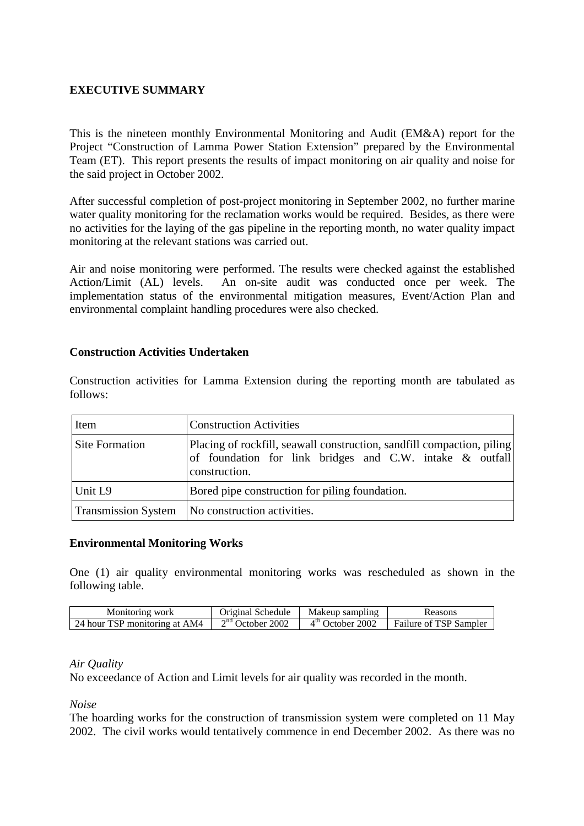## **EXECUTIVE SUMMARY**

This is the nineteen monthly Environmental Monitoring and Audit (EM&A) report for the Project "Construction of Lamma Power Station Extension" prepared by the Environmental Team (ET). This report presents the results of impact monitoring on air quality and noise for the said project in October 2002.

After successful completion of post-project monitoring in September 2002, no further marine water quality monitoring for the reclamation works would be required. Besides, as there were no activities for the laying of the gas pipeline in the reporting month, no water quality impact monitoring at the relevant stations was carried out.

Air and noise monitoring were performed. The results were checked against the established Action/Limit (AL) levels. An on-site audit was conducted once per week. The implementation status of the environmental mitigation measures, Event/Action Plan and environmental complaint handling procedures were also checked.

### **Construction Activities Undertaken**

Construction activities for Lamma Extension during the reporting month are tabulated as follows:

| Item                       | <b>Construction Activities</b>                                                                                                                      |  |
|----------------------------|-----------------------------------------------------------------------------------------------------------------------------------------------------|--|
| <b>Site Formation</b>      | Placing of rockfill, seawall construction, sandfill compaction, piling<br>of foundation for link bridges and C.W. intake & outfall<br>construction. |  |
| Unit L9                    | Bored pipe construction for piling foundation.                                                                                                      |  |
| <b>Transmission System</b> | No construction activities.                                                                                                                         |  |

### **Environmental Monitoring Works**

One (1) air quality environmental monitoring works was rescheduled as shown in the following table.

| Monitoring work               | Original Schedule  | Makeup sampling    | Reasons                |
|-------------------------------|--------------------|--------------------|------------------------|
| 24 hour TSP monitoring at AM4 | $2nd$ October 2002 | $4th$ October 2002 | Failure of TSP Sampler |

### *Air Quality*

No exceedance of Action and Limit levels for air quality was recorded in the month.

*Noise* 

The hoarding works for the construction of transmission system were completed on 11 May 2002. The civil works would tentatively commence in end December 2002. As there was no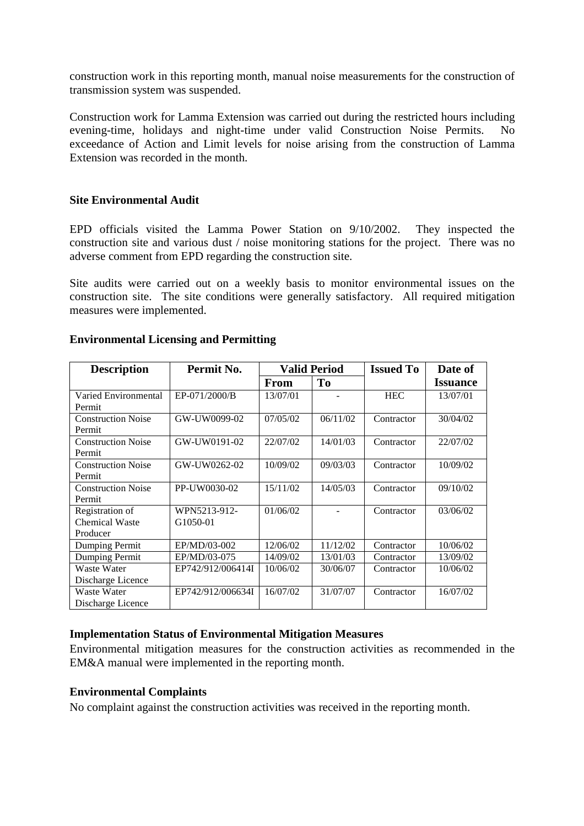construction work in this reporting month, manual noise measurements for the construction of transmission system was suspended.

Construction work for Lamma Extension was carried out during the restricted hours including evening-time, holidays and night-time under valid Construction Noise Permits. No exceedance of Action and Limit levels for noise arising from the construction of Lamma Extension was recorded in the month.

### **Site Environmental Audit**

EPD officials visited the Lamma Power Station on 9/10/2002. They inspected the construction site and various dust / noise monitoring stations for the project. There was no adverse comment from EPD regarding the construction site.

Site audits were carried out on a weekly basis to monitor environmental issues on the construction site. The site conditions were generally satisfactory. All required mitigation measures were implemented.

| <b>Description</b>        | Permit No.        | <b>Valid Period</b> |          | <b>Issued To</b> | Date of         |
|---------------------------|-------------------|---------------------|----------|------------------|-----------------|
|                           |                   | <b>From</b>         | To       |                  | <b>Issuance</b> |
| Varied Environmental      | EP-071/2000/B     | 13/07/01            |          | <b>HEC</b>       | 13/07/01        |
| Permit                    |                   |                     |          |                  |                 |
| <b>Construction Noise</b> | GW-UW0099-02      | 07/05/02            | 06/11/02 | Contractor       | 30/04/02        |
| Permit                    |                   |                     |          |                  |                 |
| <b>Construction Noise</b> | GW-UW0191-02      | 22/07/02            | 14/01/03 | Contractor       | 22/07/02        |
| Permit                    |                   |                     |          |                  |                 |
| <b>Construction Noise</b> | GW-UW0262-02      | 10/09/02            | 09/03/03 | Contractor       | 10/09/02        |
| Permit                    |                   |                     |          |                  |                 |
| <b>Construction Noise</b> | PP-UW0030-02      | 15/11/02            | 14/05/03 | Contractor       | 09/10/02        |
| Permit                    |                   |                     |          |                  |                 |
| Registration of           | WPN5213-912-      | 01/06/02            |          | Contractor       | 03/06/02        |
| <b>Chemical Waste</b>     | G1050-01          |                     |          |                  |                 |
| Producer                  |                   |                     |          |                  |                 |
| Dumping Permit            | EP/MD/03-002      | 12/06/02            | 11/12/02 | Contractor       | 10/06/02        |
| Dumping Permit            | EP/MD/03-075      | 14/09/02            | 13/01/03 | Contractor       | 13/09/02        |
| Waste Water               | EP742/912/006414I | 10/06/02            | 30/06/07 | Contractor       | 10/06/02        |
| Discharge Licence         |                   |                     |          |                  |                 |
| Waste Water               | EP742/912/006634I | 16/07/02            | 31/07/07 | Contractor       | 16/07/02        |
| Discharge Licence         |                   |                     |          |                  |                 |

### **Environmental Licensing and Permitting**

### **Implementation Status of Environmental Mitigation Measures**

Environmental mitigation measures for the construction activities as recommended in the EM&A manual were implemented in the reporting month.

### **Environmental Complaints**

No complaint against the construction activities was received in the reporting month.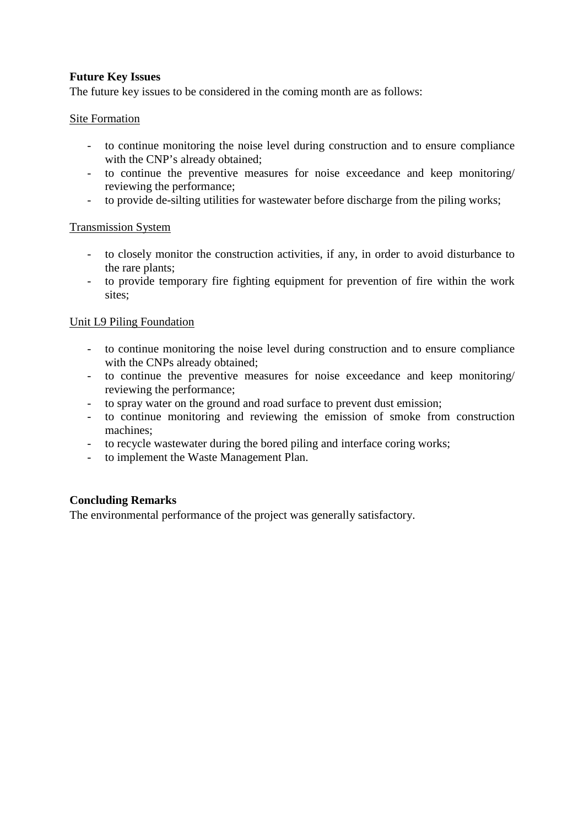## **Future Key Issues**

The future key issues to be considered in the coming month are as follows:

### Site Formation

- to continue monitoring the noise level during construction and to ensure compliance with the CNP's already obtained;
- to continue the preventive measures for noise exceedance and keep monitoring/ reviewing the performance;
- to provide de-silting utilities for wastewater before discharge from the piling works;

### Transmission System

- to closely monitor the construction activities, if any, in order to avoid disturbance to the rare plants;
- to provide temporary fire fighting equipment for prevention of fire within the work sites;

### Unit L9 Piling Foundation

- to continue monitoring the noise level during construction and to ensure compliance with the CNPs already obtained;
- to continue the preventive measures for noise exceedance and keep monitoring/ reviewing the performance;
- to spray water on the ground and road surface to prevent dust emission;
- to continue monitoring and reviewing the emission of smoke from construction machines;
- to recycle wastewater during the bored piling and interface coring works;
- to implement the Waste Management Plan.

### **Concluding Remarks**

The environmental performance of the project was generally satisfactory.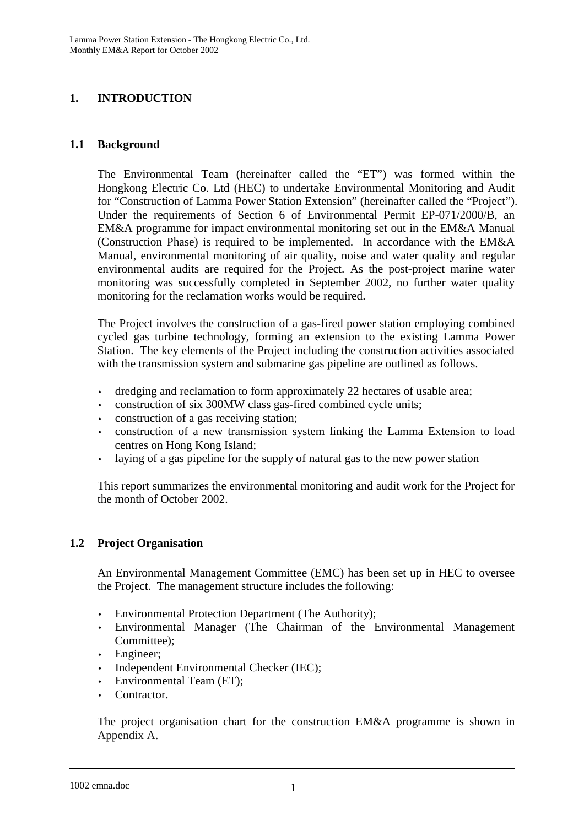# **1. INTRODUCTION**

## **1.1 Background**

The Environmental Team (hereinafter called the "ET") was formed within the Hongkong Electric Co. Ltd (HEC) to undertake Environmental Monitoring and Audit for "Construction of Lamma Power Station Extension" (hereinafter called the "Project"). Under the requirements of Section 6 of Environmental Permit EP-071/2000/B, an EM&A programme for impact environmental monitoring set out in the EM&A Manual (Construction Phase) is required to be implemented. In accordance with the EM&A Manual, environmental monitoring of air quality, noise and water quality and regular environmental audits are required for the Project. As the post-project marine water monitoring was successfully completed in September 2002, no further water quality monitoring for the reclamation works would be required.

The Project involves the construction of a gas-fired power station employing combined cycled gas turbine technology, forming an extension to the existing Lamma Power Station. The key elements of the Project including the construction activities associated with the transmission system and submarine gas pipeline are outlined as follows.

- dredging and reclamation to form approximately 22 hectares of usable area;
- construction of six 300MW class gas-fired combined cycle units;
- construction of a gas receiving station;
- construction of a new transmission system linking the Lamma Extension to load centres on Hong Kong Island;
- laying of a gas pipeline for the supply of natural gas to the new power station

This report summarizes the environmental monitoring and audit work for the Project for the month of October 2002.

# **1.2 Project Organisation**

An Environmental Management Committee (EMC) has been set up in HEC to oversee the Project. The management structure includes the following:

- Environmental Protection Department (The Authority);
- Environmental Manager (The Chairman of the Environmental Management Committee);
- Engineer:
- Independent Environmental Checker (IEC);
- Environmental Team (ET);
- Contractor.

The project organisation chart for the construction EM&A programme is shown in Appendix A.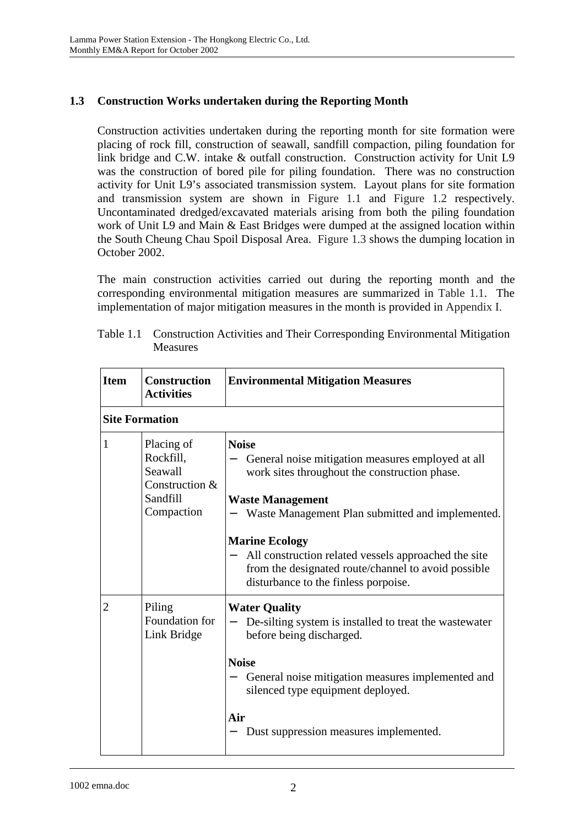# **1.3 Construction Works undertaken during the Reporting Month**

Construction activities undertaken during the reporting month for site formation were placing of rock fill, construction of seawall, sandfill compaction, piling foundation for link bridge and C.W. intake & outfall construction. Construction activity for Unit L9 was the construction of bored pile for piling foundation. There was no construction activity for Unit L9's associated transmission system. Layout plans for site formation and transmission system are shown in Figure 1.1 and Figure 1.2 respectively. Uncontaminated dredged/excavated materials arising from both the piling foundation work of Unit L9 and Main & East Bridges were dumped at the assigned location within the South Cheung Chau Spoil Disposal Area. Figure 1.3 shows the dumping location in October 2002.

The main construction activities carried out during the reporting month and the corresponding environmental mitigation measures are summarized in Table 1.1. The implementation of major mitigation measures in the month is provided in Appendix I.

| <b>Item</b> | <b>Construction</b><br><b>Activities</b>                                       | <b>Environmental Mitigation Measures</b>                                                                                                                                                                                                                                                                                                                                          |
|-------------|--------------------------------------------------------------------------------|-----------------------------------------------------------------------------------------------------------------------------------------------------------------------------------------------------------------------------------------------------------------------------------------------------------------------------------------------------------------------------------|
|             | <b>Site Formation</b>                                                          |                                                                                                                                                                                                                                                                                                                                                                                   |
| 1           | Placing of<br>Rockfill,<br>Seawall<br>Construction &<br>Sandfill<br>Compaction | <b>Noise</b><br>General noise mitigation measures employed at all<br>work sites throughout the construction phase.<br><b>Waste Management</b><br>Waste Management Plan submitted and implemented.<br><b>Marine Ecology</b><br>All construction related vessels approached the site<br>from the designated route/channel to avoid possible<br>disturbance to the finless porpoise. |
| 2           | Piling<br>Foundation for<br>Link Bridge                                        | <b>Water Quality</b><br>De-silting system is installed to treat the wastewater<br>before being discharged.<br><b>Noise</b><br>General noise mitigation measures implemented and<br>silenced type equipment deployed.<br>Air<br>Dust suppression measures implemented.                                                                                                             |

| Table 1.1 Construction Activities and Their Corresponding Environmental Mitigation |
|------------------------------------------------------------------------------------|
| <b>Measures</b>                                                                    |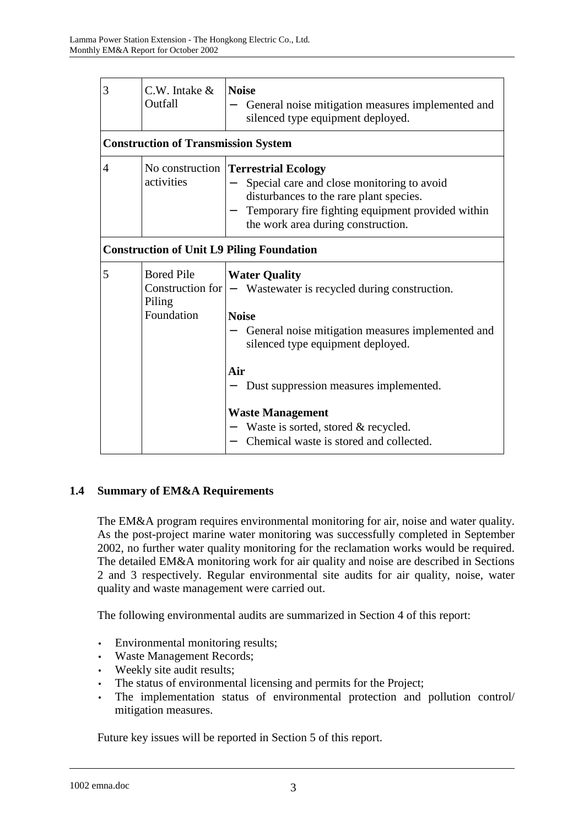| 3              | $C.W.$ Intake $&$<br>Outfall               | <b>Noise</b><br>General noise mitigation measures implemented and<br>silenced type equipment deployed.                                                                                                                  |
|----------------|--------------------------------------------|-------------------------------------------------------------------------------------------------------------------------------------------------------------------------------------------------------------------------|
|                | <b>Construction of Transmission System</b> |                                                                                                                                                                                                                         |
| $\overline{4}$ | activities                                 | No construction Terrestrial Ecology<br>Special care and close monitoring to avoid<br>disturbances to the rare plant species.<br>Temporary fire fighting equipment provided within<br>the work area during construction. |
|                |                                            | <b>Construction of Unit L9 Piling Foundation</b>                                                                                                                                                                        |
| 5              | <b>Bored Pile</b><br>Piling<br>Foundation  | <b>Water Quality</b><br>Construction for $ -$ Wastewater is recycled during construction.<br><b>Noise</b><br>General noise mitigation measures implemented and<br>silenced type equipment deployed.<br>Air              |
|                |                                            | Dust suppression measures implemented.<br><b>Waste Management</b><br>Waste is sorted, stored & recycled.<br>Chemical waste is stored and collected.                                                                     |

# **1.4 Summary of EM&A Requirements**

The EM&A program requires environmental monitoring for air, noise and water quality. As the post-project marine water monitoring was successfully completed in September 2002, no further water quality monitoring for the reclamation works would be required. The detailed EM&A monitoring work for air quality and noise are described in Sections 2 and 3 respectively. Regular environmental site audits for air quality, noise, water quality and waste management were carried out.

The following environmental audits are summarized in Section 4 of this report:

- Environmental monitoring results;
- Waste Management Records;
- Weekly site audit results;
- The status of environmental licensing and permits for the Project;
- The implementation status of environmental protection and pollution control/ mitigation measures.

Future key issues will be reported in Section 5 of this report.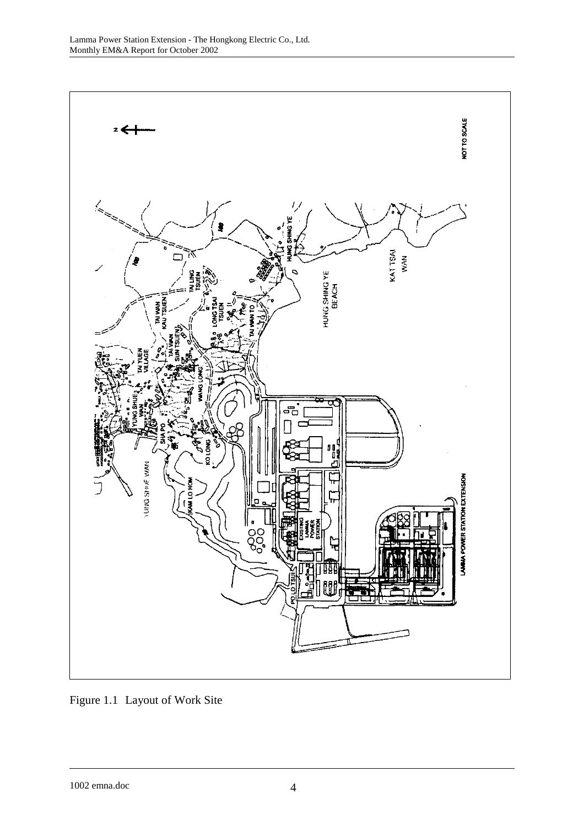

Figure 1.1 Layout of Work Site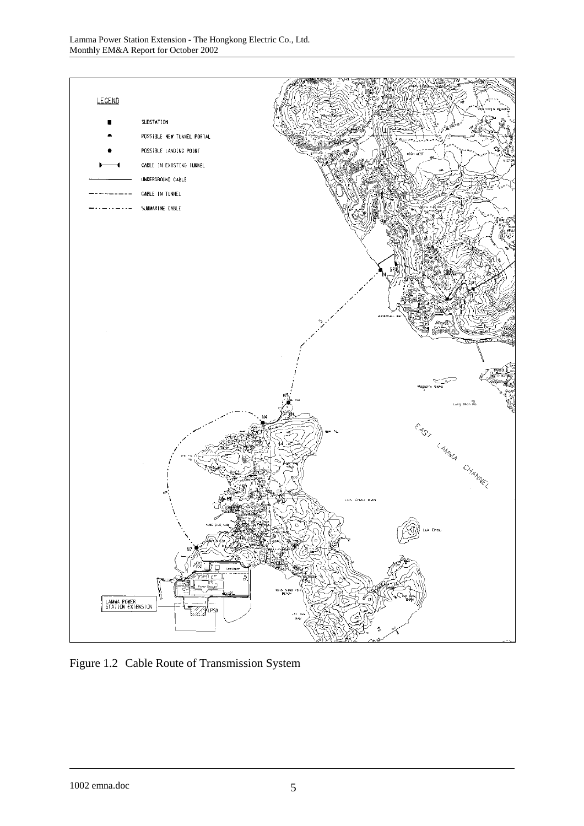

Figure 1.2 Cable Route of Transmission System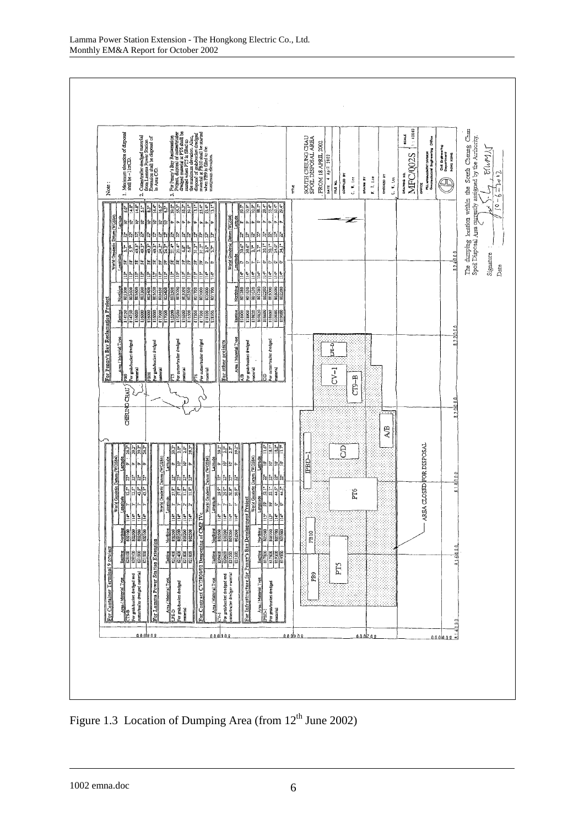

Figure 1.3 Location of Dumping Area (from  $12<sup>th</sup>$  June 2002)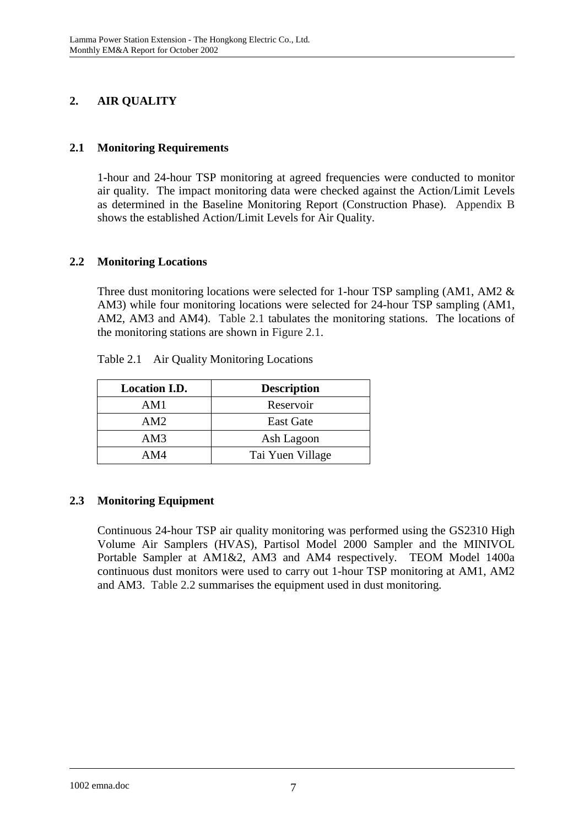# **2. AIR QUALITY**

# **2.1 Monitoring Requirements**

1-hour and 24-hour TSP monitoring at agreed frequencies were conducted to monitor air quality. The impact monitoring data were checked against the Action/Limit Levels as determined in the Baseline Monitoring Report (Construction Phase). Appendix B shows the established Action/Limit Levels for Air Quality.

# **2.2 Monitoring Locations**

Three dust monitoring locations were selected for 1-hour TSP sampling (AM1, AM2 & AM3) while four monitoring locations were selected for 24-hour TSP sampling (AM1, AM2, AM3 and AM4). Table 2.1 tabulates the monitoring stations. The locations of the monitoring stations are shown in Figure 2.1.

| <b>Location I.D.</b> | <b>Description</b> |
|----------------------|--------------------|
| AM1                  | Reservoir          |
| AM2                  | <b>East Gate</b>   |
| AM3                  | Ash Lagoon         |
| AM4                  | Tai Yuen Village   |

Table 2.1 Air Quality Monitoring Locations

# **2.3 Monitoring Equipment**

Continuous 24-hour TSP air quality monitoring was performed using the GS2310 High Volume Air Samplers (HVAS), Partisol Model 2000 Sampler and the MINIVOL Portable Sampler at AM1&2, AM3 and AM4 respectively. TEOM Model 1400a continuous dust monitors were used to carry out 1-hour TSP monitoring at AM1, AM2 and AM3. Table 2.2 summarises the equipment used in dust monitoring.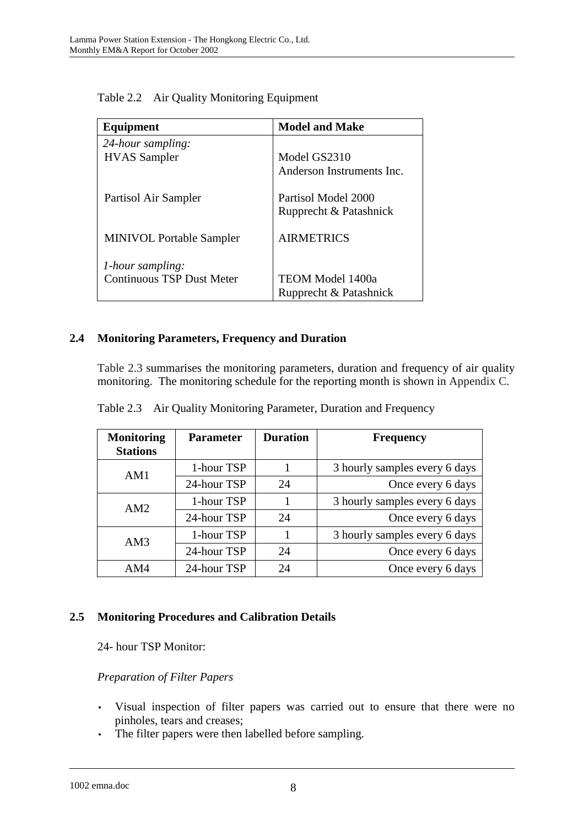| Equipment                        | <b>Model and Make</b>     |
|----------------------------------|---------------------------|
| 24-hour sampling:                |                           |
| <b>HVAS</b> Sampler              | Model GS2310              |
|                                  | Anderson Instruments Inc. |
| Partisol Air Sampler             | Partisol Model 2000       |
|                                  | Rupprecht & Patashnick    |
| <b>MINIVOL Portable Sampler</b>  | <b>AIRMETRICS</b>         |
| 1-hour sampling:                 |                           |
| <b>Continuous TSP Dust Meter</b> | <b>TEOM Model 1400a</b>   |
|                                  | Rupprecht & Patashnick    |

Table 2.2 Air Quality Monitoring Equipment

# **2.4 Monitoring Parameters, Frequency and Duration**

Table 2.3 summarises the monitoring parameters, duration and frequency of air quality monitoring. The monitoring schedule for the reporting month is shown in Appendix C.

| <b>Monitoring</b><br><b>Stations</b> | <b>Parameter</b> | <b>Duration</b> | <b>Frequency</b>              |
|--------------------------------------|------------------|-----------------|-------------------------------|
| AM1                                  | 1-hour TSP       |                 | 3 hourly samples every 6 days |
|                                      | 24-hour TSP      | 24              | Once every 6 days             |
| AM2                                  | 1-hour TSP       |                 | 3 hourly samples every 6 days |
|                                      | 24-hour TSP      | 24              | Once every 6 days             |
| AM3                                  | 1-hour TSP       |                 | 3 hourly samples every 6 days |
|                                      | 24-hour TSP      | 24              | Once every 6 days             |
| AM4                                  | 24-hour TSP      | 24              | Once every 6 days             |

Table 2.3 Air Quality Monitoring Parameter, Duration and Frequency

## **2.5 Monitoring Procedures and Calibration Details**

24- hour TSP Monitor:

## *Preparation of Filter Papers*

- Visual inspection of filter papers was carried out to ensure that there were no pinholes, tears and creases;
- The filter papers were then labelled before sampling.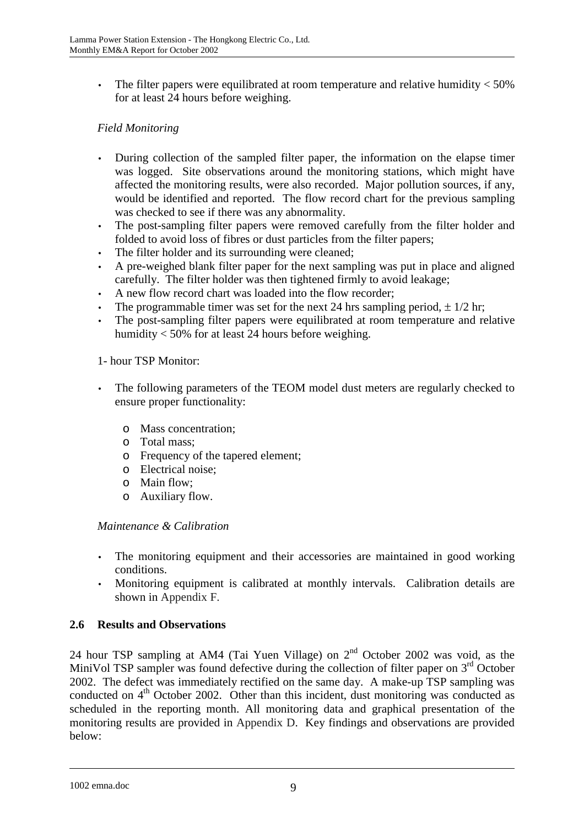The filter papers were equilibrated at room temperature and relative humidity  $<$  50% for at least 24 hours before weighing.

# *Field Monitoring*

- During collection of the sampled filter paper, the information on the elapse timer was logged. Site observations around the monitoring stations, which might have affected the monitoring results, were also recorded. Major pollution sources, if any, would be identified and reported. The flow record chart for the previous sampling was checked to see if there was any abnormality.
- The post-sampling filter papers were removed carefully from the filter holder and folded to avoid loss of fibres or dust particles from the filter papers;
- The filter holder and its surrounding were cleaned;
- A pre-weighed blank filter paper for the next sampling was put in place and aligned carefully. The filter holder was then tightened firmly to avoid leakage;
- A new flow record chart was loaded into the flow recorder;
- The programmable timer was set for the next 24 hrs sampling period,  $\pm 1/2$  hr;
- The post-sampling filter papers were equilibrated at room temperature and relative humidity < 50% for at least 24 hours before weighing.

### 1- hour TSP Monitor:

- The following parameters of the TEOM model dust meters are regularly checked to ensure proper functionality:
	- o Mass concentration;
	- o Total mass;
	- o Frequency of the tapered element;
	- o Electrical noise;
	- o Main flow;
	- o Auxiliary flow.

## *Maintenance & Calibration*

- The monitoring equipment and their accessories are maintained in good working conditions.
- Monitoring equipment is calibrated at monthly intervals. Calibration details are shown in Appendix F.

## **2.6 Results and Observations**

24 hour TSP sampling at AM4 (Tai Yuen Village) on  $2<sup>nd</sup>$  October 2002 was void, as the MiniVol TSP sampler was found defective during the collection of filter paper on  $3<sup>rd</sup>$  October 2002. The defect was immediately rectified on the same day. A make-up TSP sampling was conducted on 4<sup>th</sup> October 2002. Other than this incident, dust monitoring was conducted as scheduled in the reporting month. All monitoring data and graphical presentation of the monitoring results are provided in Appendix D. Key findings and observations are provided below: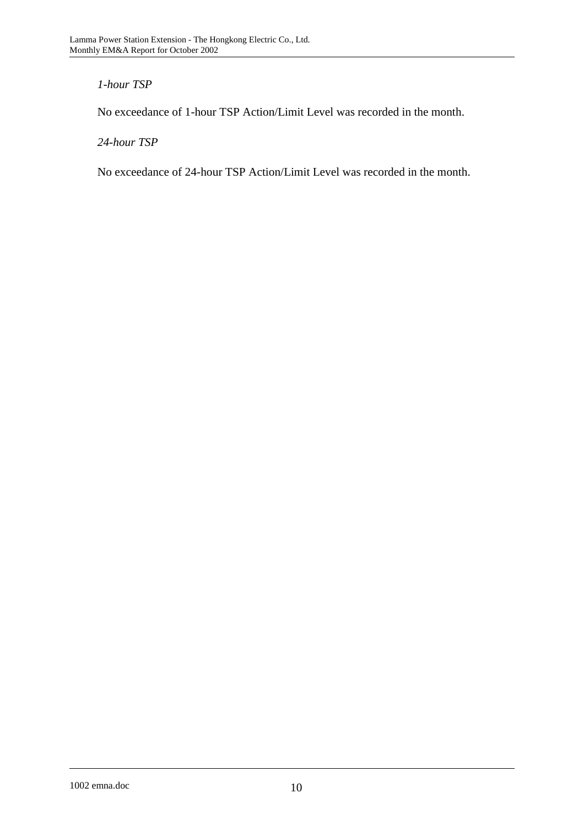# *1-hour TSP*

No exceedance of 1-hour TSP Action/Limit Level was recorded in the month.

*24-hour TSP* 

No exceedance of 24-hour TSP Action/Limit Level was recorded in the month.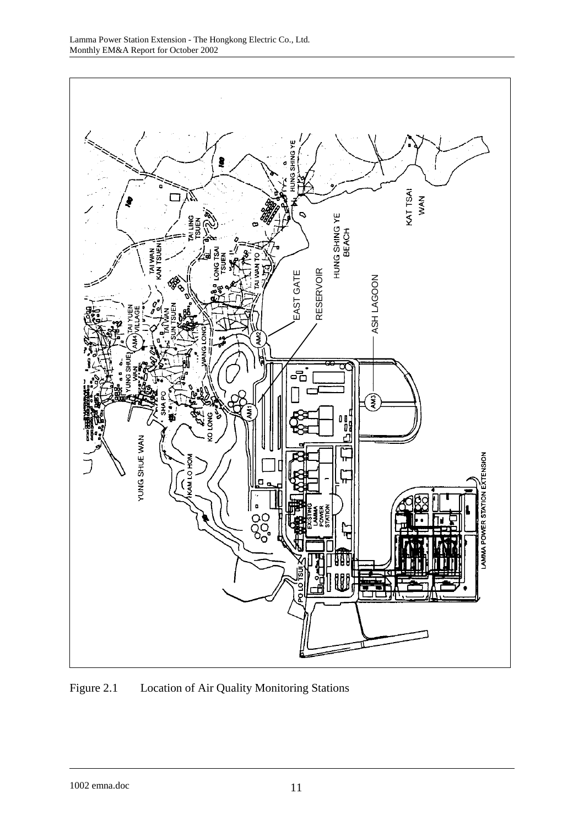

Figure 2.1 Location of Air Quality Monitoring Stations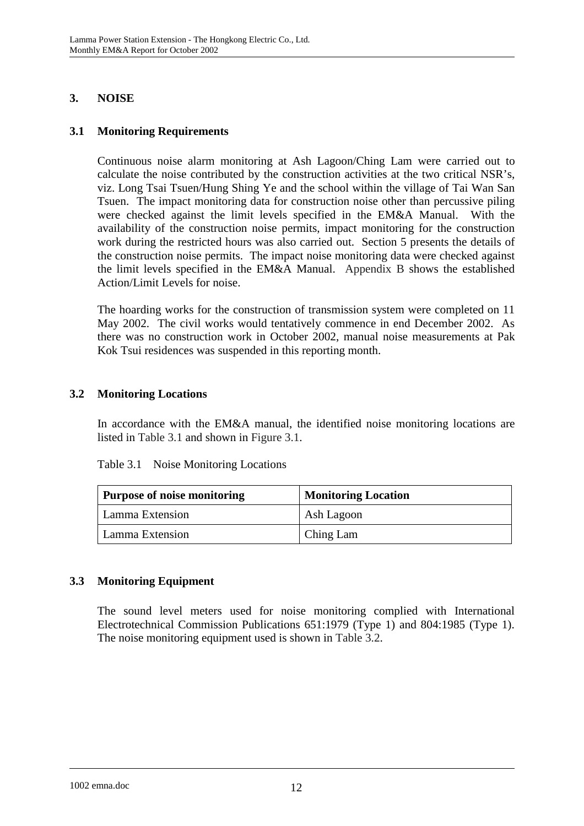# **3. NOISE**

# **3.1 Monitoring Requirements**

Continuous noise alarm monitoring at Ash Lagoon/Ching Lam were carried out to calculate the noise contributed by the construction activities at the two critical NSR's, viz. Long Tsai Tsuen/Hung Shing Ye and the school within the village of Tai Wan San Tsuen. The impact monitoring data for construction noise other than percussive piling were checked against the limit levels specified in the EM&A Manual. With the availability of the construction noise permits, impact monitoring for the construction work during the restricted hours was also carried out. Section 5 presents the details of the construction noise permits. The impact noise monitoring data were checked against the limit levels specified in the EM&A Manual. Appendix B shows the established Action/Limit Levels for noise.

The hoarding works for the construction of transmission system were completed on 11 May 2002. The civil works would tentatively commence in end December 2002. As there was no construction work in October 2002, manual noise measurements at Pak Kok Tsui residences was suspended in this reporting month.

# **3.2 Monitoring Locations**

In accordance with the EM&A manual, the identified noise monitoring locations are listed in Table 3.1 and shown in Figure 3.1.

| <b>Purpose of noise monitoring</b> | <b>Monitoring Location</b> |
|------------------------------------|----------------------------|
| Lamma Extension                    | Ash Lagoon                 |
| Lamma Extension                    | Ching Lam                  |

Table 3.1 Noise Monitoring Locations

# **3.3 Monitoring Equipment**

The sound level meters used for noise monitoring complied with International Electrotechnical Commission Publications 651:1979 (Type 1) and 804:1985 (Type 1). The noise monitoring equipment used is shown in Table 3.2.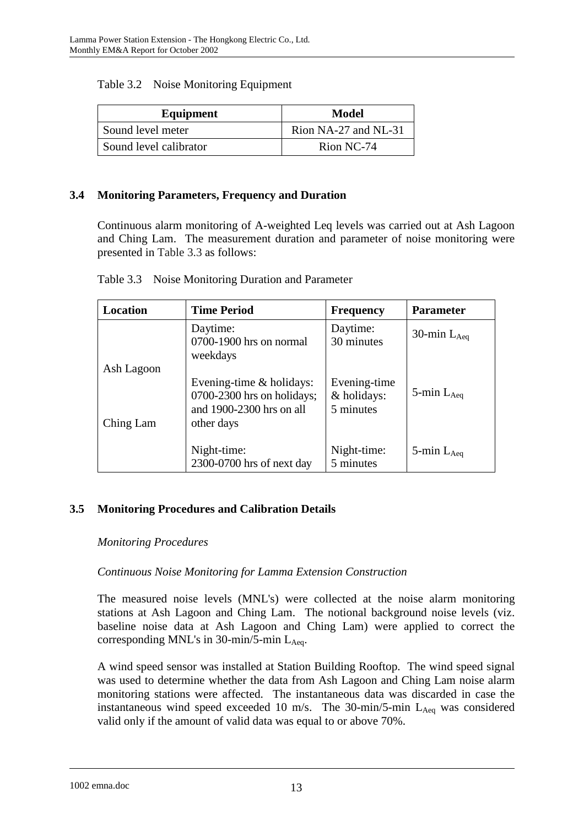| Equipment              | Model                |
|------------------------|----------------------|
| Sound level meter      | Rion NA-27 and NL-31 |
| Sound level calibrator | Rion NC-74           |

### **3.4 Monitoring Parameters, Frequency and Duration**

Continuous alarm monitoring of A-weighted Leq levels was carried out at Ash Lagoon and Ching Lam. The measurement duration and parameter of noise monitoring were presented in Table 3.3 as follows:

| Location                | <b>Time Period</b>                                                                                   | <b>Frequency</b>                         | <b>Parameter</b>   |
|-------------------------|------------------------------------------------------------------------------------------------------|------------------------------------------|--------------------|
|                         | Daytime:<br>0700-1900 hrs on normal<br>weekdays                                                      | Daytime:<br>30 minutes                   | 30-min $L_{Aea}$   |
| Ash Lagoon<br>Ching Lam | Evening-time $&$ holidays:<br>$0700-2300$ hrs on holidays;<br>and 1900-2300 hrs on all<br>other days | Evening-time<br>& holidays:<br>5 minutes | 5-min $L_{Aeq}$    |
|                         | Night-time:<br>2300-0700 hrs of next day                                                             | Night-time:<br>5 minutes                 | $5$ -min $L_{Aeq}$ |

## **3.5 Monitoring Procedures and Calibration Details**

### *Monitoring Procedures*

## *Continuous Noise Monitoring for Lamma Extension Construction*

The measured noise levels (MNL's) were collected at the noise alarm monitoring stations at Ash Lagoon and Ching Lam. The notional background noise levels (viz. baseline noise data at Ash Lagoon and Ching Lam) were applied to correct the corresponding MNL's in 30-min/5-min  $L_{Aeq}$ .

A wind speed sensor was installed at Station Building Rooftop. The wind speed signal was used to determine whether the data from Ash Lagoon and Ching Lam noise alarm monitoring stations were affected. The instantaneous data was discarded in case the instantaneous wind speed exceeded 10 m/s. The 30-min/5-min  $L_{Aeq}$  was considered valid only if the amount of valid data was equal to or above 70%.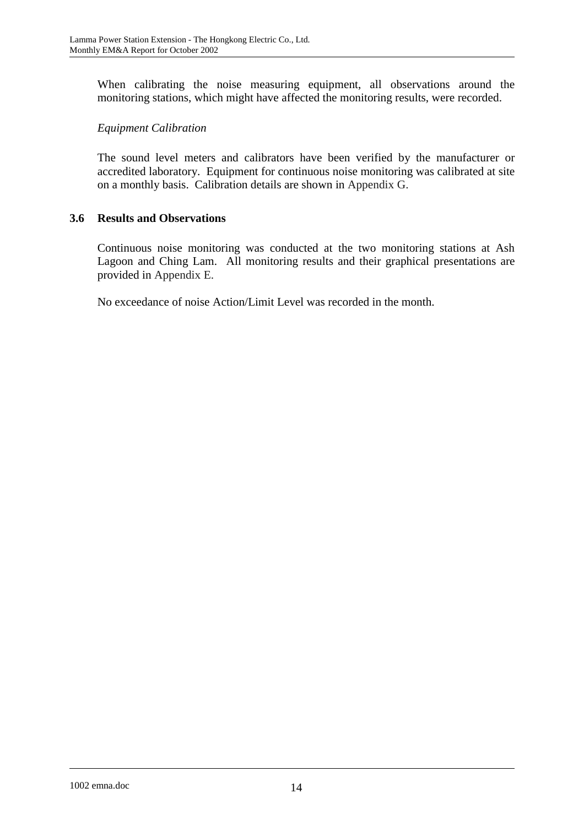When calibrating the noise measuring equipment, all observations around the monitoring stations, which might have affected the monitoring results, were recorded.

# *Equipment Calibration*

The sound level meters and calibrators have been verified by the manufacturer or accredited laboratory. Equipment for continuous noise monitoring was calibrated at site on a monthly basis. Calibration details are shown in Appendix G.

# **3.6 Results and Observations**

Continuous noise monitoring was conducted at the two monitoring stations at Ash Lagoon and Ching Lam. All monitoring results and their graphical presentations are provided in Appendix E.

No exceedance of noise Action/Limit Level was recorded in the month.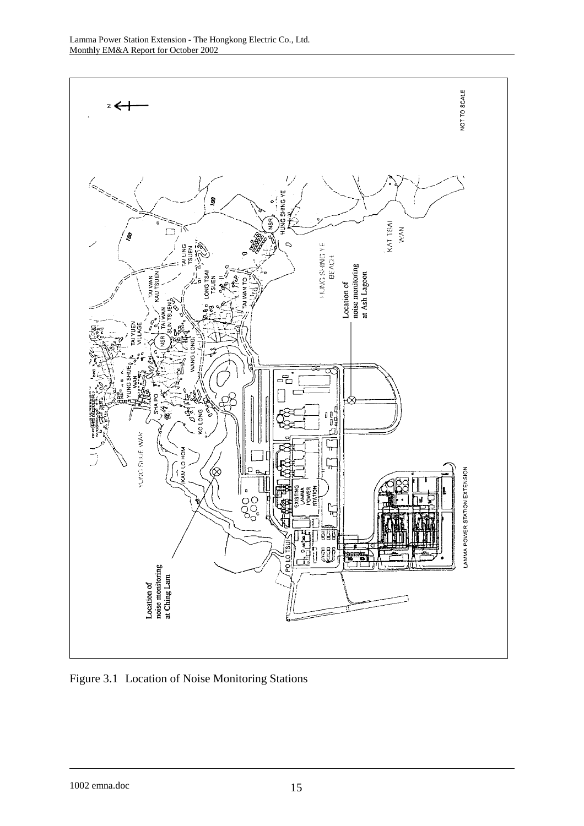

Figure 3.1 Location of Noise Monitoring Stations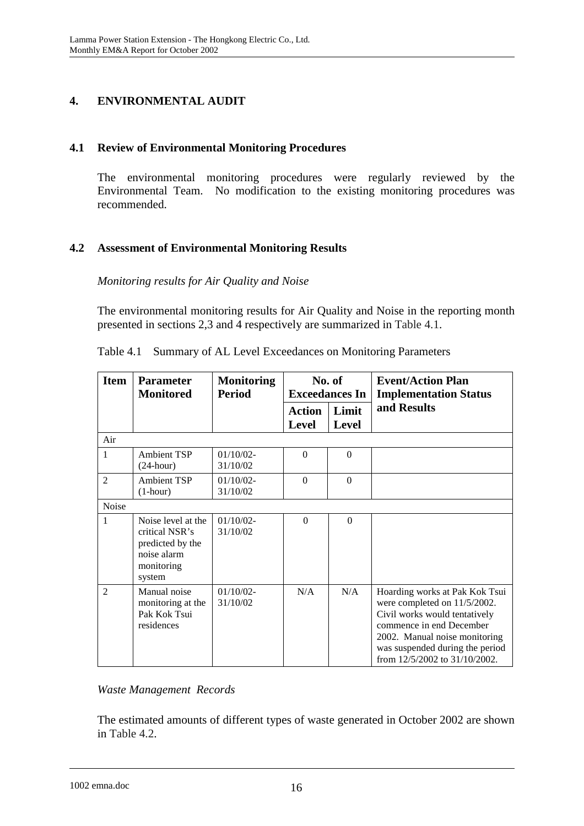# **4. ENVIRONMENTAL AUDIT**

# **4.1 Review of Environmental Monitoring Procedures**

The environmental monitoring procedures were regularly reviewed by the Environmental Team. No modification to the existing monitoring procedures was recommended.

# **4.2 Assessment of Environmental Monitoring Results**

*Monitoring results for Air Quality and Noise* 

The environmental monitoring results for Air Quality and Noise in the reporting month presented in sections 2,3 and 4 respectively are summarized in Table 4.1.

| <b>Item</b>    | <b>Parameter</b><br><b>Monitored</b>                                                            | No. of<br><b>Monitoring</b><br><b>Exceedances In</b><br><b>Period</b> |                               |                       | <b>Event/Action Plan</b><br><b>Implementation Status</b>                                                                                                                                                                         |
|----------------|-------------------------------------------------------------------------------------------------|-----------------------------------------------------------------------|-------------------------------|-----------------------|----------------------------------------------------------------------------------------------------------------------------------------------------------------------------------------------------------------------------------|
|                |                                                                                                 |                                                                       | <b>Action</b><br><b>Level</b> | Limit<br><b>Level</b> | and Results                                                                                                                                                                                                                      |
| Air            |                                                                                                 |                                                                       |                               |                       |                                                                                                                                                                                                                                  |
| 1              | <b>Ambient TSP</b><br>$(24$ -hour)                                                              | $01/10/02$ -<br>31/10/02                                              | $\theta$                      | $\Omega$              |                                                                                                                                                                                                                                  |
| $\overline{2}$ | <b>Ambient TSP</b><br>$(1-hour)$                                                                | $01/10/02 -$<br>31/10/02                                              | $\Omega$                      | $\Omega$              |                                                                                                                                                                                                                                  |
| Noise          |                                                                                                 |                                                                       |                               |                       |                                                                                                                                                                                                                                  |
| 1              | Noise level at the<br>critical NSR's<br>predicted by the<br>noise alarm<br>monitoring<br>system | $01/10/02 -$<br>31/10/02                                              | $\Omega$                      | $\Omega$              |                                                                                                                                                                                                                                  |
| $\overline{2}$ | Manual noise<br>monitoring at the<br>Pak Kok Tsui<br>residences                                 | $01/10/02 -$<br>31/10/02                                              | N/A                           | N/A                   | Hoarding works at Pak Kok Tsui<br>were completed on 11/5/2002.<br>Civil works would tentatively<br>commence in end December<br>2002. Manual noise monitoring<br>was suspended during the period<br>from 12/5/2002 to 31/10/2002. |

|  |  |  |  |  |  |  | Table 4.1 Summary of AL Level Exceedances on Monitoring Parameters |
|--|--|--|--|--|--|--|--------------------------------------------------------------------|
|--|--|--|--|--|--|--|--------------------------------------------------------------------|

## *Waste Management Records*

The estimated amounts of different types of waste generated in October 2002 are shown in Table 4.2.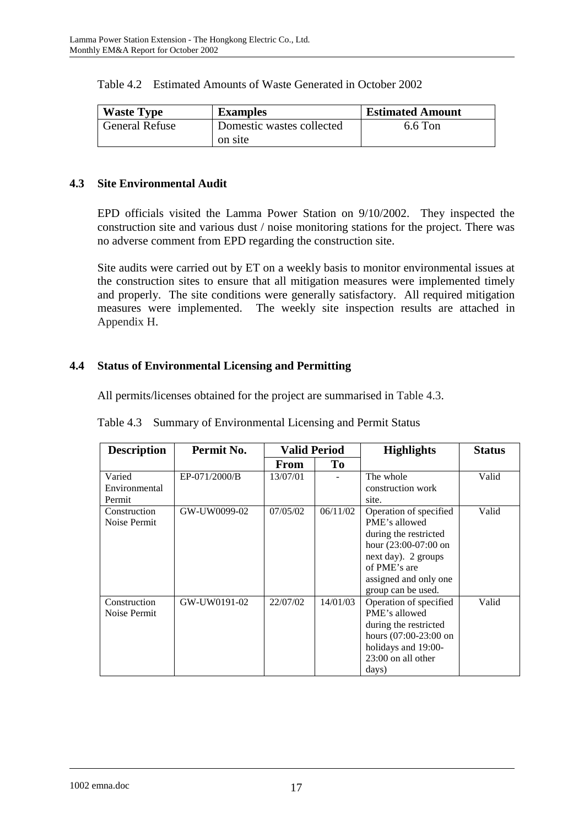| <b>Waste Type</b>     | <b>Examples</b>           | <b>Estimated Amount</b> |
|-----------------------|---------------------------|-------------------------|
| <b>General Refuse</b> | Domestic wastes collected | 6.6 Ton                 |
|                       | on site                   |                         |

## Table 4.2 Estimated Amounts of Waste Generated in October 2002

## **4.3 Site Environmental Audit**

EPD officials visited the Lamma Power Station on 9/10/2002. They inspected the construction site and various dust / noise monitoring stations for the project. There was no adverse comment from EPD regarding the construction site.

Site audits were carried out by ET on a weekly basis to monitor environmental issues at the construction sites to ensure that all mitigation measures were implemented timely and properly. The site conditions were generally satisfactory. All required mitigation measures were implemented. The weekly site inspection results are attached in Appendix H.

## **4.4 Status of Environmental Licensing and Permitting**

All permits/licenses obtained for the project are summarised in Table 4.3.

| <b>Description</b> | Permit No.    | <b>Valid Period</b> |          | <b>Highlights</b>       | <b>Status</b> |
|--------------------|---------------|---------------------|----------|-------------------------|---------------|
|                    |               | From                | To       |                         |               |
| Varied             | EP-071/2000/B | 13/07/01            |          | The whole               | Valid         |
| Environmental      |               |                     |          | construction work       |               |
| Permit             |               |                     |          | site.                   |               |
| Construction       | GW-UW0099-02  | 07/05/02            | 06/11/02 | Operation of specified  | Valid         |
| Noise Permit       |               |                     |          | PME's allowed           |               |
|                    |               |                     |          | during the restricted   |               |
|                    |               |                     |          | hour $(23:00-07:00)$ on |               |
|                    |               |                     |          | next day). 2 groups     |               |
|                    |               |                     |          | of PME's are            |               |
|                    |               |                     |          | assigned and only one   |               |
|                    |               |                     |          | group can be used.      |               |
| Construction       | GW-UW0191-02  | 22/07/02            | 14/01/03 | Operation of specified  | Valid         |
| Noise Permit       |               |                     |          | PME's allowed           |               |
|                    |               |                     |          | during the restricted   |               |
|                    |               |                     |          | hours $(07:00-23:00$ on |               |
|                    |               |                     |          | holidays and 19:00-     |               |
|                    |               |                     |          | 23:00 on all other      |               |
|                    |               |                     |          | days)                   |               |

|  |  | Table 4.3 Summary of Environmental Licensing and Permit Status |
|--|--|----------------------------------------------------------------|
|--|--|----------------------------------------------------------------|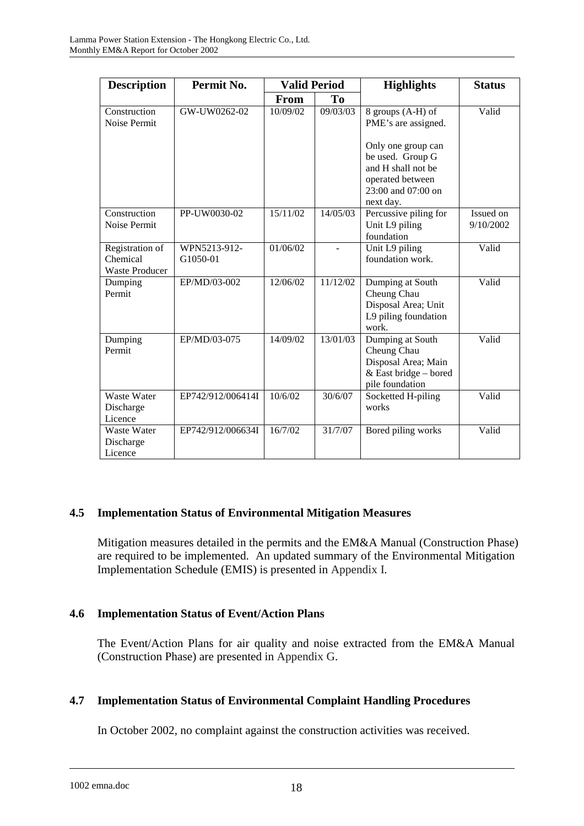| <b>Description</b>                                   | Permit No.               | <b>Valid Period</b> |                | <b>Highlights</b>                                                                                                                                  | <b>Status</b>          |  |
|------------------------------------------------------|--------------------------|---------------------|----------------|----------------------------------------------------------------------------------------------------------------------------------------------------|------------------------|--|
|                                                      |                          | <b>From</b>         | T <sub>0</sub> |                                                                                                                                                    |                        |  |
| Construction<br>Noise Permit                         | GW-UW0262-02             | 10/09/02            | 09/03/03       | 8 groups (A-H) of<br>PME's are assigned.<br>Only one group can<br>be used. Group G<br>and H shall not be<br>operated between<br>23:00 and 07:00 on | Valid                  |  |
| Construction<br>Noise Permit                         | PP-UW0030-02             | 15/11/02            | 14/05/03       | next day.<br>Percussive piling for<br>Unit L9 piling<br>foundation                                                                                 | Issued on<br>9/10/2002 |  |
| Registration of<br>Chemical<br><b>Waste Producer</b> | WPN5213-912-<br>G1050-01 | 01/06/02            |                | Unit L9 piling<br>foundation work.                                                                                                                 | Valid                  |  |
| Dumping<br>Permit                                    | EP/MD/03-002             | 12/06/02            | 11/12/02       | Dumping at South<br>Cheung Chau<br>Disposal Area; Unit<br>L9 piling foundation<br>work.                                                            | Valid                  |  |
| Dumping<br>Permit                                    | EP/MD/03-075             | 14/09/02            | 13/01/03       | Dumping at South<br>Cheung Chau<br>Disposal Area; Main<br>$&$ East bridge – bored<br>pile foundation                                               | Valid                  |  |
| Waste Water<br>Discharge<br>Licence                  | EP742/912/006414I        | 10/6/02             | 30/6/07        | Socketted H-piling<br>works                                                                                                                        | Valid                  |  |
| Waste Water<br>Discharge<br>Licence                  | EP742/912/006634I        | 16/7/02             | 31/7/07        | Bored piling works                                                                                                                                 | Valid                  |  |

## **4.5 Implementation Status of Environmental Mitigation Measures**

Mitigation measures detailed in the permits and the EM&A Manual (Construction Phase) are required to be implemented. An updated summary of the Environmental Mitigation Implementation Schedule (EMIS) is presented in Appendix I.

# **4.6 Implementation Status of Event/Action Plans**

The Event/Action Plans for air quality and noise extracted from the EM&A Manual (Construction Phase) are presented in Appendix G.

# **4.7 Implementation Status of Environmental Complaint Handling Procedures**

In October 2002, no complaint against the construction activities was received.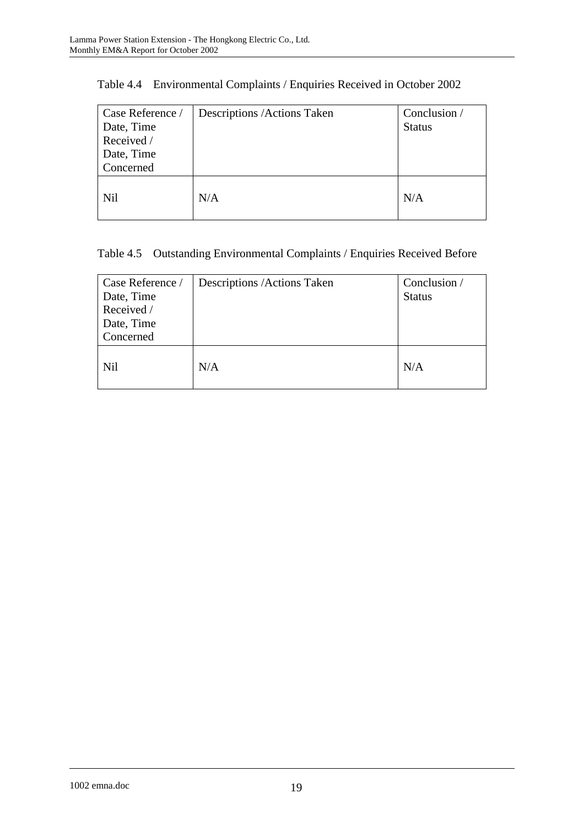| Case Reference /<br>Date, Time<br>Received /<br>Date, Time<br>Concerned | Descriptions / Actions Taken | Conclusion /<br><b>Status</b> |
|-------------------------------------------------------------------------|------------------------------|-------------------------------|
| <b>Nil</b>                                                              | N/A                          | N/A                           |

|  | Table 4.4 Environmental Complaints / Enquiries Received in October 2002 |  |  |  |  |
|--|-------------------------------------------------------------------------|--|--|--|--|
|--|-------------------------------------------------------------------------|--|--|--|--|

# Table 4.5 Outstanding Environmental Complaints / Enquiries Received Before

| Case Reference /<br>Date, Time<br>Received /<br>Date, Time<br>Concerned | Descriptions / Actions Taken | Conclusion /<br><b>Status</b> |
|-------------------------------------------------------------------------|------------------------------|-------------------------------|
| Nil                                                                     | N/A                          | N/A                           |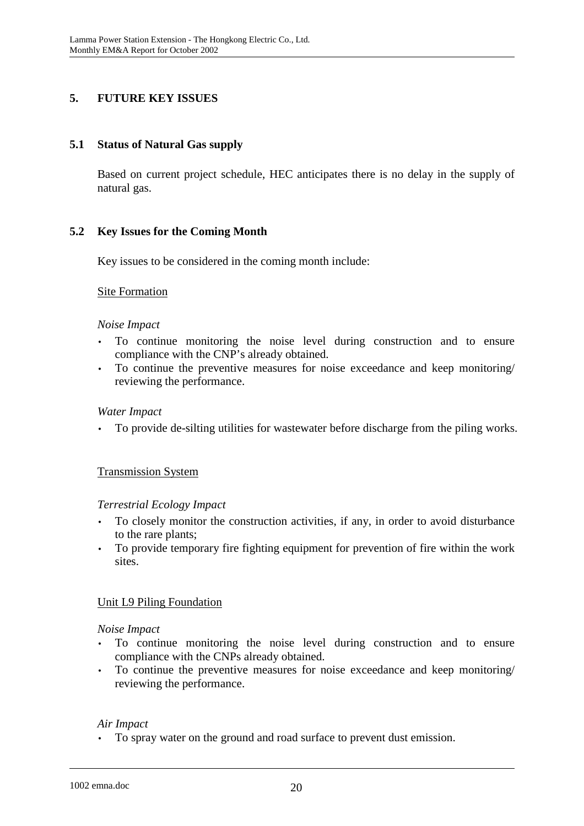# **5. FUTURE KEY ISSUES**

## **5.1 Status of Natural Gas supply**

Based on current project schedule, HEC anticipates there is no delay in the supply of natural gas.

# **5.2 Key Issues for the Coming Month**

Key issues to be considered in the coming month include:

## Site Formation

### *Noise Impact*

- To continue monitoring the noise level during construction and to ensure compliance with the CNP's already obtained.
- To continue the preventive measures for noise exceedance and keep monitoring/ reviewing the performance.

### *Water Impact*

• To provide de-silting utilities for wastewater before discharge from the piling works.

## Transmission System

## *Terrestrial Ecology Impact*

- To closely monitor the construction activities, if any, in order to avoid disturbance to the rare plants;
- To provide temporary fire fighting equipment for prevention of fire within the work sites.

## Unit L9 Piling Foundation

### *Noise Impact*

- To continue monitoring the noise level during construction and to ensure compliance with the CNPs already obtained.
- To continue the preventive measures for noise exceedance and keep monitoring/ reviewing the performance.

### *Air Impact*

• To spray water on the ground and road surface to prevent dust emission.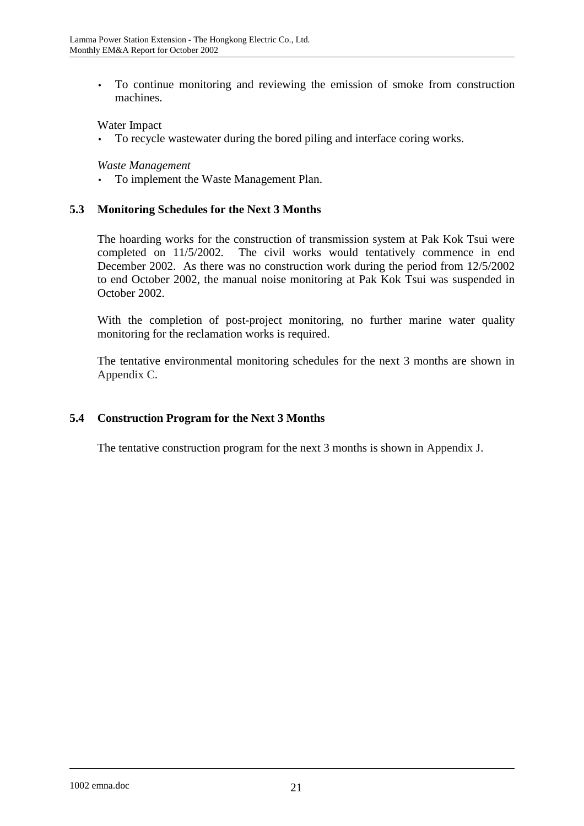• To continue monitoring and reviewing the emission of smoke from construction machines.

### Water Impact

To recycle wastewater during the bored piling and interface coring works.

### *Waste Management*

• To implement the Waste Management Plan.

### **5.3 Monitoring Schedules for the Next 3 Months**

The hoarding works for the construction of transmission system at Pak Kok Tsui were completed on 11/5/2002. The civil works would tentatively commence in end December 2002. As there was no construction work during the period from 12/5/2002 to end October 2002, the manual noise monitoring at Pak Kok Tsui was suspended in October 2002.

With the completion of post-project monitoring, no further marine water quality monitoring for the reclamation works is required.

The tentative environmental monitoring schedules for the next 3 months are shown in Appendix C.

## **5.4 Construction Program for the Next 3 Months**

The tentative construction program for the next 3 months is shown in Appendix J.